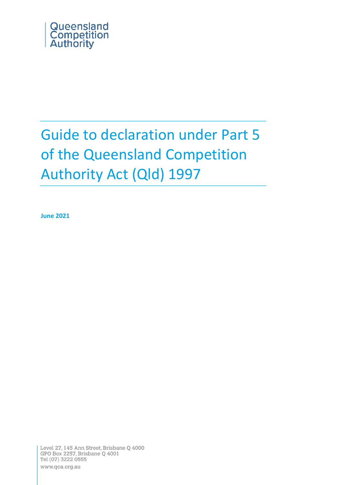

# Guide to declaration under Part 5 of the Queensland Competition Authority Act (Qld) 1997

**June 2021**

Level 27, 145 Ann Street, Brisbane Q 4000 GPO Box 2257, Brisbane Q 4001 Tel (07) 3222 0555 www.qca.org.au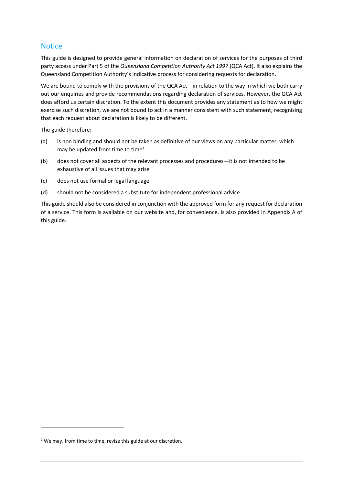## <span id="page-1-0"></span>**Notice**

This guide is designed to provide general information on declaration of services for the purposes of third party access under Part 5 of the *Queensland Competition Authority Act 1997* (QCA Act). It also explains the Queensland Competition Authority's indicative process for considering requests for declaration.

We are bound to comply with the provisions of the QCA Act—in relation to the way in which we both carry out our enquiries and provide recommendations regarding declaration of services. However, the QCA Act does afford us certain discretion. To the extent this document provides any statement as to how we might exercise such discretion, we are not bound to act in a manner consistent with such statement, recognising that each request about declaration is likely to be different.

The guide therefore:

- (a) is non binding and should not be taken as definitive of our views on any particular matter, which may be updated from time to time<sup>1</sup>
- (b) does not cover all aspects of the relevant processes and procedures—it is not intended to be exhaustive of all issues that may arise
- (c) does not use formal or legal language
- (d) should not be considered a substitute for independent professional advice.

This guide should also be considered in conjunction with the approved form for any request for declaration of a service. This form is available on our website and, for convenience, is also provided in Appendix A of this guide.

<sup>&</sup>lt;sup>1</sup> We may, from time to time, revise this guide at our discretion.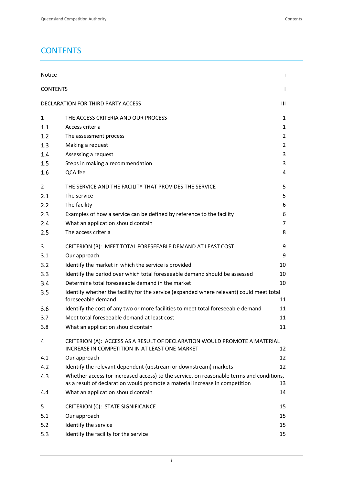## <span id="page-2-0"></span>**CONTENTS**

| Notice          |                                                                                                                             | i.             |
|-----------------|-----------------------------------------------------------------------------------------------------------------------------|----------------|
| <b>CONTENTS</b> |                                                                                                                             | $\mathsf{I}$   |
|                 | DECLARATION FOR THIRD PARTY ACCESS                                                                                          | Ш              |
| $\mathbf{1}$    | THE ACCESS CRITERIA AND OUR PROCESS                                                                                         | 1              |
| 1.1             | Access criteria                                                                                                             | 1              |
| 1.2             | The assessment process                                                                                                      | $\overline{2}$ |
| 1.3             | Making a request                                                                                                            | 2              |
| 1.4             | Assessing a request                                                                                                         | 3              |
| 1.5             | Steps in making a recommendation                                                                                            | 3              |
| 1.6             | QCA fee                                                                                                                     | 4              |
| 2               | THE SERVICE AND THE FACILITY THAT PROVIDES THE SERVICE                                                                      | 5              |
| 2.1             | The service                                                                                                                 | 5              |
| 2.2             | The facility                                                                                                                | 6              |
| 2.3             | Examples of how a service can be defined by reference to the facility                                                       | 6              |
| 2.4             | What an application should contain                                                                                          | 7              |
| 2.5             | The access criteria                                                                                                         | 8              |
| 3               | CRITERION (B): MEET TOTAL FORESEEABLE DEMAND AT LEAST COST                                                                  | 9              |
| 3.1             | Our approach                                                                                                                | 9              |
| 3.2             | Identify the market in which the service is provided                                                                        | 10             |
| 3.3             | Identify the period over which total foreseeable demand should be assessed                                                  | 10             |
| 3.4             | Determine total foreseeable demand in the market                                                                            | 10             |
| 3.5             | Identify whether the facility for the service (expanded where relevant) could meet total<br>foreseeable demand              | 11             |
| 3.6             | Identify the cost of any two or more facilities to meet total foreseeable demand                                            | 11             |
| 3.7             | Meet total foreseeable demand at least cost                                                                                 | 11             |
| 3.8             | What an application should contain                                                                                          | 11             |
| 4               | CRITERION (A): ACCESS AS A RESULT OF DECLARATION WOULD PROMOTE A MATERIAL<br>INCREASE IN COMPETITION IN AT LEAST ONE MARKET | 12             |
| 4.1             | Our approach                                                                                                                | 12             |
| 4.2             | Identify the relevant dependent (upstream or downstream) markets                                                            | 12             |
| 4.3             | Whether access (or increased access) to the service, on reasonable terms and conditions,                                    |                |
|                 | as a result of declaration would promote a material increase in competition                                                 | 13             |
| 4.4             | What an application should contain                                                                                          | 14             |
| 5               | CRITERION (C): STATE SIGNIFICANCE                                                                                           | 15             |
| 5.1             | Our approach                                                                                                                | 15             |
| 5.2             | Identify the service                                                                                                        | 15             |
| 5.3             | Identify the facility for the service                                                                                       | 15             |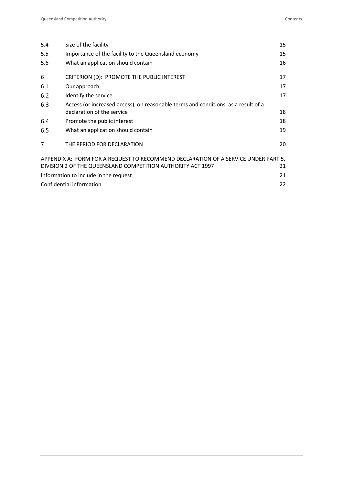| 5.4<br>5.5<br>5.6 | Size of the facility<br>Importance of the facility to the Queensland economy<br>What an application should contain | 15<br>15<br>16 |  |  |
|-------------------|--------------------------------------------------------------------------------------------------------------------|----------------|--|--|
| 6                 | CRITERION (D): PROMOTE THE PUBLIC INTEREST                                                                         | 17             |  |  |
| 6.1               | Our approach                                                                                                       | 17             |  |  |
| 6.2               | Identify the service                                                                                               | 17             |  |  |
| 6.3               | Access (or increased access), on reasonable terms and conditions, as a result of a                                 |                |  |  |
|                   | declaration of the service                                                                                         | 18             |  |  |
| 6.4               | Promote the public interest                                                                                        | 18             |  |  |
| 6.5               | What an application should contain                                                                                 | 19             |  |  |
| $\overline{7}$    | THE PERIOD FOR DECLARATION                                                                                         | 20             |  |  |
|                   | APPENDIX A: FORM FOR A REQUEST TO RECOMMEND DECLARATION OF A SERVICE UNDER PART 5,                                 |                |  |  |
|                   | DIVISION 2 OF THE QUEENSLAND COMPETITION AUTHORITY ACT 1997                                                        | 21             |  |  |
|                   | Information to include in the request                                                                              | 21             |  |  |
|                   | Confidential information                                                                                           | 22             |  |  |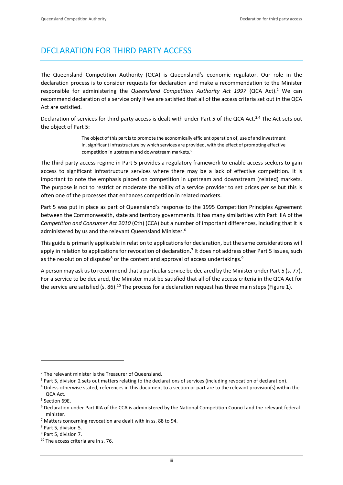## <span id="page-4-0"></span>DECLARATION FOR THIRD PARTY ACCESS

The Queensland Competition Authority (QCA) is Queensland's economic regulator. Our role in the declaration process is to consider requests for declaration and make a recommendation to the Minister responsible for administering the *Queensland Competition Authority Act 1997* (QCA Act). <sup>2</sup> We can recommend declaration of a service only if we are satisfied that all of the access criteria set out in the QCA Act are satisfied.

Declaration of services for third party access is dealt with under Part 5 of the QCA Act.<sup>3,4</sup> The Act sets out the object of Part 5:

> The object of this part is to promote the economically efficient operation of, use of and investment in, significant infrastructure by which services are provided, with the effect of promoting effective competition in upstream and downstream markets.<sup>5</sup>

The third party access regime in Part 5 provides a regulatory framework to enable access seekers to gain access to significant infrastructure services where there may be a lack of effective competition. It is important to note the emphasis placed on competition in upstream and downstream (related) markets. The purpose is not to restrict or moderate the ability of a service provider to set prices *per se* but this is often one of the processes that enhances competition in related markets.

Part 5 was put in place as part of Queensland's response to the 1995 Competition Principles Agreement between the Commonwealth, state and territory governments. It has many similarities with Part IIIA of the *Competition and Consumer Act 2010* (Cth) (CCA) but a number of important differences, including that it is administered by us and the relevant Queensland Minister.<sup>6</sup>

This guide is primarily applicable in relation to applications for declaration, but the same considerations will apply in relation to applications for revocation of declaration.<sup>7</sup> It does not address other Part 5 issues, such as the resolution of disputes<sup>8</sup> or the content and approval of access undertakings.<sup>9</sup>

A person may ask usto recommend that a particular service be declared by the Minister under Part 5 (s. 77). For a service to be declared, the Minister must be satisfied that all of the access criteria in the QCA Act for the service are satisfied (s. 86).<sup>10</sup> The process for a declaration request has three main steps (Figure 1).

<sup>2</sup> The relevant minister is the Treasurer of Queensland.

<sup>&</sup>lt;sup>3</sup> Part 5, division 2 sets out matters relating to the declarations of services (including revocation of declaration).

<sup>4</sup> Unless otherwise stated, references in this document to a section or part are to the relevant provision(s) within the QCA Act.

<sup>5</sup> Section 69E.

<sup>6</sup> Declaration under Part IIIA of the CCA is administered by the National Competition Council and the relevant federal minister.

<sup>7</sup> Matters concerning revocation are dealt with in ss. 88 to 94.

<sup>8</sup> Part 5, division 5.

<sup>9</sup> Part 5, division 7.

<sup>&</sup>lt;sup>10</sup> The access criteria are in s. 76.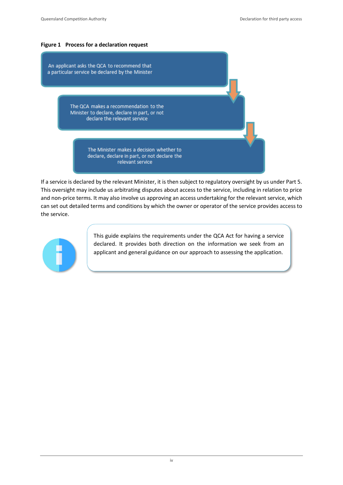## **Figure 1 Process for a declaration request**

An applicant asks the QCA to recommend that a particular service be declared by the Minister

> The QCA makes a recommendation to the Minister to declare, declare in part, or not declare the relevant service

> > The Minister makes a decision whether to declare, declare in part, or not declare the relevant service

If a service is declared by the relevant Minister, it is then subject to regulatory oversight by us under Part 5. This oversight may include us arbitrating disputes about access to the service, including in relation to price and non-price terms. It may also involve us approving an access undertaking for the relevant service, which can set out detailed terms and conditions by which the owner or operator of the service provides access to the service.



This guide explains the requirements under the QCA Act for having a service declared. It provides both direction on the information we seek from an applicant and general guidance on our approach to assessing the application.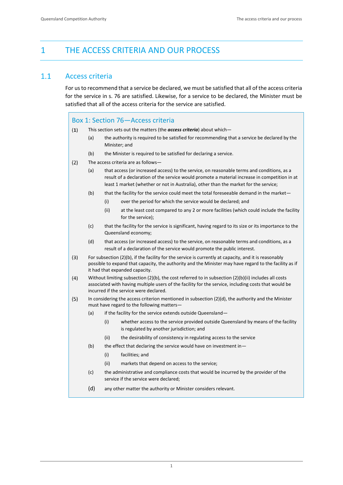## <span id="page-6-0"></span>1 THE ACCESS CRITERIA AND OUR PROCESS

#### <span id="page-6-1"></span> $1.1$ Access criteria

For usto recommend that a service be declared, we must be satisfied that all of the access criteria for the service in s. 76 are satisfied. Likewise, for a service to be declared, the Minister must be satisfied that all of the access criteria for the service are satisfied.

## Box 1: Section 76—Access criteria

- $(1)$ This section sets out the matters (the *access criteria*) about which—
	- (a) the authority is required to be satisfied for recommending that a service be declared by the Minister; and
	- (b) the Minister is required to be satisfied for declaring a service.
- $(2)$ The access criteria are as follows—
	- (a) that access (or increased access) to the service, on reasonable terms and conditions, as a result of a declaration of the service would promote a material increase in competition in at least 1 market (whether or not in Australia), other than the market for the service;
	- (b) that the facility for the service could meet the total foreseeable demand in the market—
		- (i) over the period for which the service would be declared; and
		- (ii) at the least cost compared to any 2 or more facilities (which could include the facility for the service);
	- (c) that the facility for the service is significant, having regard to its size or its importance to the Queensland economy;
	- (d) that access (or increased access) to the service, on reasonable terms and conditions, as a result of a declaration of the service would promote the public interest.
- $(3)$ For subsection (2)(b), if the facility for the service is currently at capacity, and it is reasonably possible to expand that capacity, the authority and the Minister may have regard to the facility as if it had that expanded capacity.
- $(4)$ Without limiting subsection (2)(b), the cost referred to in subsection (2)(b)(ii) includes all costs associated with having multiple users of the facility for the service, including costs that would be incurred if the service were declared.
- $(5)$ In considering the access criterion mentioned in subsection (2)(d), the authority and the Minister must have regard to the following matters—
	- (a) if the facility for the service extends outside Queensland—
		- (i) whether access to the service provided outside Queensland by means of the facility is regulated by another jurisdiction; and
		- (ii) the desirability of consistency in regulating access to the service
	- (b) the effect that declaring the service would have on investment in  $-$ 
		- (i) facilities; and
		- (ii) markets that depend on access to the service;
	- (c) the administrative and compliance costs that would be incurred by the provider of the service if the service were declared;
	- (d) any other matter the authority or Minister considers relevant.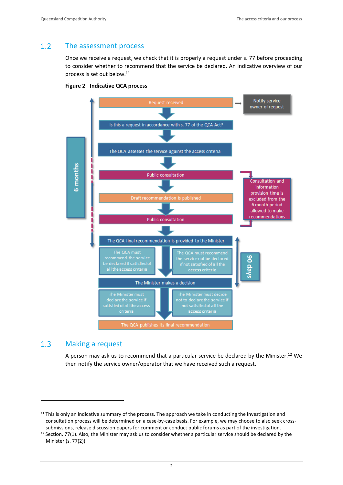#### <span id="page-7-0"></span> $1.2$ The assessment process

Once we receive a request, we check that it is properly a request under s. 77 before proceeding to consider whether to recommend that the service be declared. An indicative overview of our process is set out below.<sup>11</sup>



### **Figure 2 Indicative QCA process**

#### <span id="page-7-1"></span> $1.3$ Making a request

A person may ask us to recommend that a particular service be declared by the Minister.<sup>12</sup> We then notify the service owner/operator that we have received such a request.

 $11$  This is only an indicative summary of the process. The approach we take in conducting the investigation and consultation process will be determined on a case-by-case basis. For example, we may choose to also seek crosssubmissions, release discussion papers for comment or conduct public forums as part of the investigation.

<sup>&</sup>lt;sup>12</sup> Section. 77(1). Also, the Minister may ask us to consider whether a particular service should be declared by the Minister (s. 77(2)).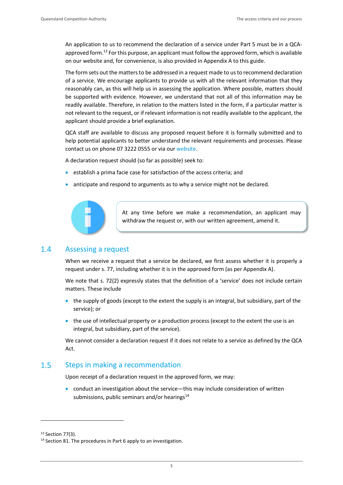An application to us to recommend the declaration of a service under Part 5 must be in a QCAapproved form.<sup>13</sup> For this purpose, an applicant must follow the approved form, which is available on our website and, for convenience, is also provided in Appendix A to this guide.

The form sets out the matters to be addressed in a request made to us to recommend declaration of a service. We encourage applicants to provide us with all the relevant information that they reasonably can, as this will help us in assessing the application. Where possible, matters should be supported with evidence. However, we understand that not all of this information may be readily available. Therefore, in relation to the matters listed in the form, if a particular matter is not relevant to the request, or if relevant information is not readily available to the applicant, the applicant should provide a brief explanation.

QCA staff are available to discuss any proposed request before it is formally submitted and to help potential applicants to better understand the relevant requirements and processes. Please contact us on phone 07 3222 0555 or via ou[r website.](https://www.qca.org.au/contact/)

A declaration request should (so far as possible) seek to:

- establish a prima facie case for satisfaction of the access criteria; and
- anticipate and respond to arguments as to why a service might not be declared.



At any time before we make a recommendation, an applicant may withdraw the request or, with our written agreement, amend it.

#### <span id="page-8-0"></span> $1.4$ Assessing a request

When we receive a request that a service be declared, we first assess whether it is properly a request under s. 77, including whether it is in the approved form (as per Appendix A).

We note that s. 72(2) expressly states that the definition of a 'service' does not include certain matters. These include

- the supply of goods (except to the extent the supply is an integral, but subsidiary, part of the service); or
- the use of intellectual property or a production process (except to the extent the use is an integral, but subsidiary, part of the service).

We cannot consider a declaration request if it does not relate to a service as defined by the QCA Act.

#### <span id="page-8-1"></span> $1.5$ Steps in making a recommendation

Upon receipt of a declaration request in the approved form, we may:

• conduct an investigation about the service—this may include consideration of written submissions, public seminars and/or hearings<sup>14</sup>

<sup>&</sup>lt;sup>13</sup> Section 77(3).

<sup>&</sup>lt;sup>14</sup> Section 81. The procedures in Part 6 apply to an investigation.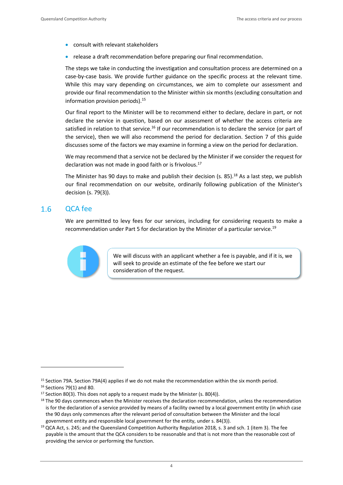- consult with relevant stakeholders
- release a draft recommendation before preparing our final recommendation.

The steps we take in conducting the investigation and consultation process are determined on a case-by-case basis. We provide further guidance on the specific process at the relevant time. While this may vary depending on circumstances, we aim to complete our assessment and provide our final recommendation to the Minister within six months (excluding consultation and information provision periods).<sup>15</sup>

Our final report to the Minister will be to recommend either to declare, declare in part, or not declare the service in question, based on our assessment of whether the access criteria are satisfied in relation to that service.<sup>16</sup> If our recommendation is to declare the service (or part of the service), then we will also recommend the period for declaration. Section 7 of this guide discusses some of the factors we may examine in forming a view on the period for declaration.

We may recommend that a service not be declared by the Minister if we consider the request for declaration was not made in good faith or is frivolous.<sup>17</sup>

The Minister has 90 days to make and publish their decision (s. 85).<sup>18</sup> As a last step, we publish our final recommendation on our website, ordinarily following publication of the Minister's decision (s. 79(3)).

#### <span id="page-9-0"></span> $1.6$ QCA fee

We are permitted to levy fees for our services, including for considering requests to make a recommendation under Part 5 for declaration by the Minister of a particular service.<sup>19</sup>



We will discuss with an applicant whether a fee is payable, and if it is, we will seek to provide an estimate of the fee before we start our consideration of the request.

<sup>15</sup> Section 79A. Section 79A(4) applies if we do not make the recommendation within the six month period.

<sup>16</sup> Sections 79(1) and 80.

<sup>&</sup>lt;sup>17</sup> Section 80(3). This does not apply to a request made by the Minister (s. 80(4)).

<sup>&</sup>lt;sup>18</sup> The 90 days commences when the Minister receives the declaration recommendation, unless the recommendation is for the declaration of a service provided by means of a facility owned by a local government entity (in which case the 90 days only commences after the relevant period of consultation between the Minister and the local government entity and responsible local government for the entity, under s. 84(3)).

<sup>19</sup> QCA Act, s. 245; and the Queensland Competition Authority Regulation 2018*,* s. 3 and sch. 1 (item 3). The fee payable is the amount that the QCA considers to be reasonable and that is not more than the reasonable cost of providing the service or performing the function.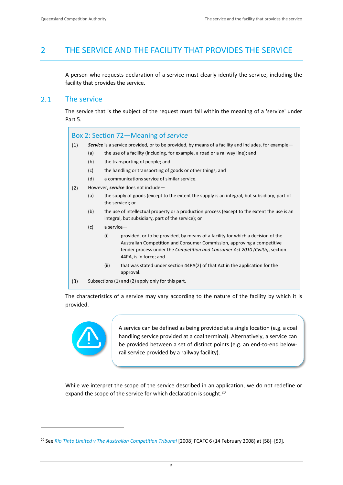## <span id="page-10-0"></span>2 THE SERVICE AND THE FACILITY THAT PROVIDES THE SERVICE

A person who requests declaration of a service must clearly identify the service, including the facility that provides the service.

#### <span id="page-10-1"></span> $2.1$ The service

The service that is the subject of the request must fall within the meaning of a 'service' under Part 5.

Box 2: Section 72—Meaning of *service*

- $(1)$ *Service* is a service provided, or to be provided, by means of a facility and includes, for example—
	- (a) the use of a facility (including, for example, a road or a railway line); and
	- (b) the transporting of people; and
	- (c) the handling or transporting of goods or other things; and
	- (d) a communications service of similar service.
- $(2)$ However, *service* does not include—
	- (a) the supply of goods (except to the extent the supply is an integral, but subsidiary, part of the service); or
	- (b) the use of intellectual property or a production process (except to the extent the use is an integral, but subsidiary, part of the service); or
	- (c) a service—
		- (i) provided, or to be provided, by means of a facility for which a decision of the Australian Competition and Consumer Commission, approving a competitive tender process under the *Competition and Consumer Act 2010 (Cwlth)*, section 44PA, is in force; and
		- (ii) that was stated under section 44PA(2) of that Act in the application for the approval.
- $(3)$ Subsections (1) and (2) apply only for this part.

The characteristics of a service may vary according to the nature of the facility by which it is provided.



A service can be defined as being provided at a single location (e.g. a coal handling service provided at a coal terminal). Alternatively, a service can be provided between a set of distinct points (e.g. an end-to-end belowrail service provided by a railway facility).

While we interpret the scope of the service described in an application, we do not redefine or expand the scope of the service for which declaration is sought.<sup>20</sup>

<sup>&</sup>lt;sup>20</sup> See [Rio Tinto Limited v The Australian Competition Tribunal](https://www.austlii.edu.au/cgi-bin/viewdoc/au/cases/cth/FCAFC/2008/6.html) [2008] FCAFC 6 (14 February 2008) at [58]–[59].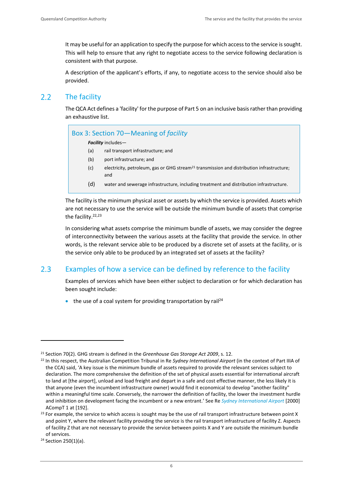It may be useful for an application to specify the purpose for which access to the service is sought. This will help to ensure that any right to negotiate access to the service following declaration is consistent with that purpose.

A description of the applicant's efforts, if any, to negotiate access to the service should also be provided.

#### <span id="page-11-0"></span> $2.2$ The facility

The QCA Act defines a 'facility' for the purpose of Part 5 on an inclusive basisrather than providing an exhaustive list.

| Box 3: Section 70-Meaning of facility |  |  |  |
|---------------------------------------|--|--|--|
|---------------------------------------|--|--|--|

*Facility* includes—

- (a) rail transport infrastructure; and
- (b) port infrastructure; and
- (c) electricity, petroleum, gas or GHG stream<sup>21</sup> transmission and distribution infrastructure; and
- (d) water and sewerage infrastructure, including treatment and distribution infrastructure.

The facility is the minimum physical asset or assets by which the service is provided. Assets which are not necessary to use the service will be outside the minimum bundle of assets that comprise the facility.<sup>22,23</sup>

In considering what assets comprise the minimum bundle of assets, we may consider the degree of interconnectivity between the various assets at the facility that provide the service. In other words, is the relevant service able to be produced by a discrete set of assets at the facility, or is the service only able to be produced by an integrated set of assets at the facility?

#### <span id="page-11-1"></span> $2.3$ Examples of how a service can be defined by reference to the facility

Examples of services which have been either subject to declaration or for which declaration has been sought include:

• the use of a coal system for providing transportation by rail<sup>24</sup>

<sup>21</sup> Section 70(2). GHG stream is defined in the *Greenhouse Gas Storage Act 2009*, s. 12.

<sup>22</sup> In this respect, the Australian Competition Tribunal in Re *Sydney International Airport* (in the context of Part IIIA of the CCA) said, 'A key issue is the minimum bundle of assets required to provide the relevant services subject to declaration. The more comprehensive the definition of the set of physical assets essential for international aircraft to land at [the airport], unload and load freight and depart in a safe and cost effective manner, the less likely it is that anyone (even the incumbent infrastructure owner) would find it economical to develop "another facility" within a meaningful time scale. Conversely, the narrower the definition of facility, the lower the investment hurdle and inhibition on development facing the incumbent or a new entrant.' See Re *[Sydney International Airport](https://www.competitiontribunal.gov.au/decisions/year/2000/acompt-2000?sq_content_src=%2BdXJsPWh0dHBzJTNBJTJGJTJGd3d3Lmp1ZGdtZW50cy5mZWRjb3VydC5nb3YuYXUlMkZqdWRnbWVudHMlMkZKdWRnbWVudHMlMkZ0cmlidW5hbHMlMkZhY29tcHQlMkYyMDAwJTJGMjAwMGFjb21wdDAxJmFsbD0x)* [2000] ACompT 1 at [192].

 $^{23}$  For example, the service to which access is sought may be the use of rail transport infrastructure between point X and point Y, where the relevant facility providing the service is the rail transport infrastructure of facility Z. Aspects of facility Z that are not necessary to provide the service between points X and Y are outside the minimum bundle of services.

<sup>24</sup> Section 250(1)(a).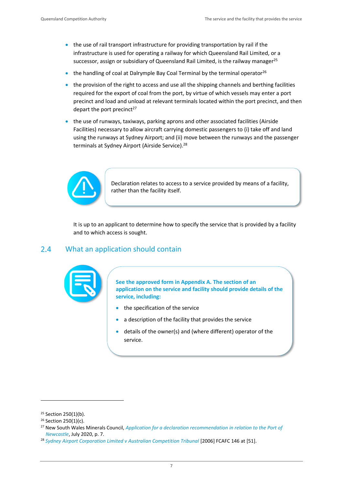- the use of rail transport infrastructure for providing transportation by rail if the infrastructure is used for operating a railway for which Queensland Rail Limited, or a successor, assign or subsidiary of Queensland Rail Limited, is the railway manager<sup>25</sup>
- the handling of coal at Dalrymple Bay Coal Terminal by the terminal operator<sup>26</sup>
- the provision of the right to access and use all the shipping channels and berthing facilities required for the export of coal from the port, by virtue of which vessels may enter a port precinct and load and unload at relevant terminals located within the port precinct, and then depart the port precinct<sup>27</sup>
- the use of runways, taxiways, parking aprons and other associated facilities (Airside Facilities) necessary to allow aircraft carrying domestic passengers to (i) take off and land using the runways at Sydney Airport; and (ii) move between the runways and the passenger terminals at Sydney Airport (Airside Service).<sup>28</sup>



Declaration relates to access to a service provided by means of a facility, rather than the facility itself.

It is up to an applicant to determine how to specify the service that is provided by a facility and to which access is sought.

#### <span id="page-12-0"></span> $2.4$ What an application should contain



**See the approved form in Appendix A. The section of an application on the service and facility should provide details of the service, including:**

- the specification of the service
- a description of the facility that provides the service
- details of the owner(s) and (where different) operator of the service.

<sup>25</sup> Section 250(1)(b).

<sup>26</sup> Section 250(1)(c).

<sup>27</sup> New South Wales Minerals Council, *[Application for a declaration recommendation in relation to the Port of](https://ncc.gov.au/images/uploads/DEPOMCAP-001.pdf)  [Newcastle](https://ncc.gov.au/images/uploads/DEPOMCAP-001.pdf)*, July 2020, p. 7.

<sup>&</sup>lt;sup>28</sup> [Sydney Airport Corporation Limited v Australian Competition Tribunal](https://www.judgments.fedcourt.gov.au/judgments/Judgments/fca/full/2006/2006fcafc0146) [2006] [FCAFC 146](https://jade.io/article/2483) at [51].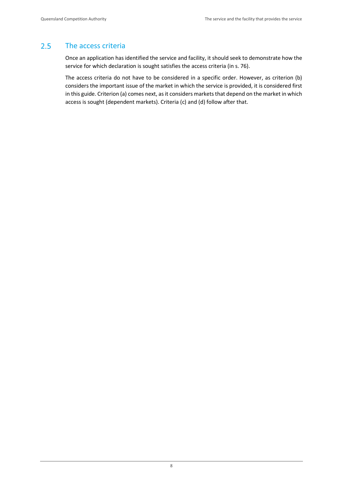#### <span id="page-13-0"></span> $2.5$ The access criteria

Once an application has identified the service and facility, it should seek to demonstrate how the service for which declaration is sought satisfies the access criteria (in s. 76).

The access criteria do not have to be considered in a specific order. However, as criterion (b) considers the important issue of the market in which the service is provided, it is considered first in this guide. Criterion (a) comes next, as it considers markets that depend on the market in which access is sought (dependent markets). Criteria (c) and (d) follow after that.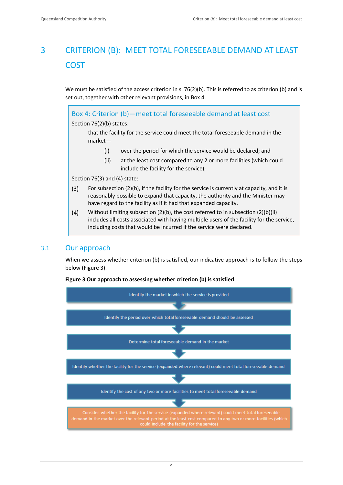# <span id="page-14-0"></span>3 CRITERION (B): MEET TOTAL FORESEEABLE DEMAND AT LEAST COST

We must be satisfied of the access criterion in s. 76(2)(b). This is referred to as criterion (b) and is set out, together with other relevant provisions, in Box 4.

Box 4: Criterion (b)—meet total foreseeable demand at least cost Section 76(2)(b) states: that the facility for the service could meet the total foreseeable demand in the market—

- (i) over the period for which the service would be declared; and
- (ii) at the least cost compared to any 2 or more facilities (which could include the facility for the service);

Section 76(3) and (4) state:

- For subsection (2)(b), if the facility for the service is currently at capacity, and it is  $(3)$ reasonably possible to expand that capacity, the authority and the Minister may have regard to the facility as if it had that expanded capacity.
- $(4)$ Without limiting subsection (2)(b), the cost referred to in subsection (2)(b)(ii) includes all costs associated with having multiple users of the facility for the service, including costs that would be incurred if the service were declared.

## <span id="page-14-1"></span>3.1 Our approach

When we assess whether criterion (b) is satisfied, our indicative approach is to follow the steps below (Figure 3).



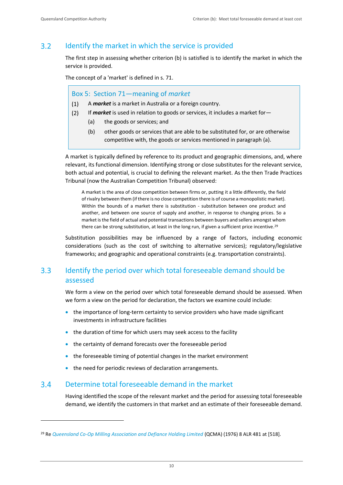### <span id="page-15-0"></span> $3.2$ Identify the market in which the service is provided

The first step in assessing whether criterion (b) is satisfied is to identify the market in which the service is provided.

The concept of a 'market' is defined in s. 71.

## Box 5: Section 71—meaning of *market*

- A *market* is a market in Australia or a foreign country.  $(1)$
- $(2)$ If *market* is used in relation to goods or services, it includes a market for—
	- (a) the goods or services; and
	- (b) other goods or services that are able to be substituted for, or are otherwise competitive with, the goods or services mentioned in paragraph (a).

A market is typically defined by reference to its product and geographic dimensions, and, where relevant, its functional dimension. Identifying strong or close substitutes for the relevant service, both actual and potential, is crucial to defining the relevant market. As the then Trade Practices Tribunal (now the Australian Competition Tribunal) observed:

A market is the area of close competition between firms or, putting it a little differently, the field of rivalry between them (if there is no close competition there is of course a monopolistic market). Within the bounds of a market there is substitution - substitution between one product and another, and between one source of supply and another, in response to changing prices. So a market is the field of actual and potential transactions between buyers and sellers amongst whom there can be strong substitution, at least in the long run, if given a sufficient price incentive.<sup>29</sup>

Substitution possibilities may be influenced by a range of factors, including economic considerations (such as the cost of switching to alternative services); regulatory/legislative frameworks; and geographic and operational constraints (e.g. transportation constraints).

### <span id="page-15-1"></span> $3.3<sub>1</sub>$ Identify the period over which total foreseeable demand should be assessed

We form a view on the period over which total foreseeable demand should be assessed. When we form a view on the period for declaration, the factors we examine could include:

- the importance of long-term certainty to service providers who have made significant investments in infrastructure facilities
- the duration of time for which users may seek access to the facility
- the certainty of demand forecasts over the foreseeable period
- the foreseeable timing of potential changes in the market environment
- the need for periodic reviews of declaration arrangements.

#### <span id="page-15-2"></span> $3.4$ Determine total foreseeable demand in the market

Having identified the scope of the relevant market and the period for assessing total foreseeable demand, we identify the customers in that market and an estimate of their foreseeable demand.

<sup>29</sup> Re *[Queensland Co-Op Milling Association and Defiance Holding Limited](https://www.australiancompetitionlaw.info/cases/qcma)* (QCMA) (1976) 8 ALR 481 at [518].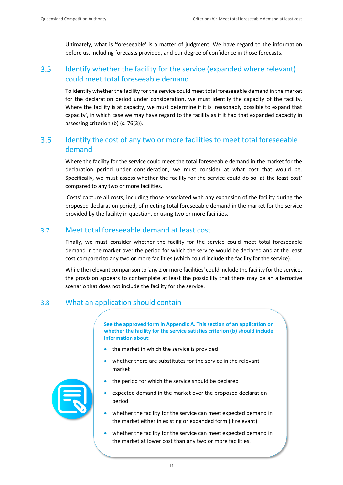Ultimately, what is 'foreseeable' is a matter of judgment. We have regard to the information before us, including forecasts provided, and our degree of confidence in those forecasts.

### <span id="page-16-0"></span> $3.5$ Identify whether the facility for the service (expanded where relevant) could meet total foreseeable demand

To identify whether the facility for the service could meet total foreseeable demand in the market for the declaration period under consideration, we must identify the capacity of the facility. Where the facility is at capacity, we must determine if it is 'reasonably possible to expand that capacity', in which case we may have regard to the facility as if it had that expanded capacity in assessing criterion (b) (s. 76(3)).

### <span id="page-16-1"></span> $3.6$ Identify the cost of any two or more facilities to meet total foreseeable demand

Where the facility for the service could meet the total foreseeable demand in the market for the declaration period under consideration, we must consider at what cost that would be. Specifically, we must assess whether the facility for the service could do so 'at the least cost' compared to any two or more facilities.

'Costs' capture all costs, including those associated with any expansion of the facility during the proposed declaration period, of meeting total foreseeable demand in the market for the service provided by the facility in question, or using two or more facilities.

## <span id="page-16-2"></span>3.7 Meet total foreseeable demand at least cost

Finally, we must consider whether the facility for the service could meet total foreseeable demand in the market over the period for which the service would be declared and at the least cost compared to any two or more facilities (which could include the facility for the service).

While the relevant comparison to 'any 2 or more facilities' could include the facility for the service, the provision appears to contemplate at least the possibility that there may be an alternative scenario that does not include the facility for the service.

## <span id="page-16-3"></span>3.8 What an application should contain

**See the approved form in Appendix A. This section of an application on whether the facility for the service satisfies criterion (b) should include information about:**

- the market in which the service is provided
- whether there are substitutes for the service in the relevant market
- the period for which the service should be declared
- expected demand in the market over the proposed declaration period
- whether the facility for the service can meet expected demand in the market either in existing or expanded form (if relevant)
- whether the facility for the service can meet expected demand in the market at lower cost than any two or more facilities.

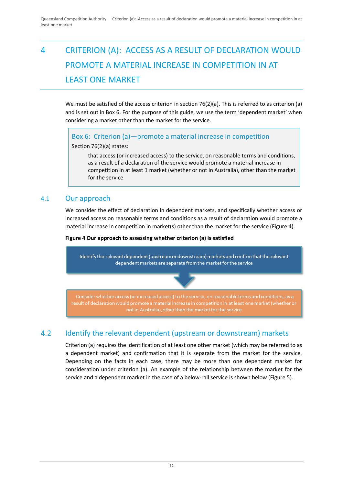# <span id="page-17-0"></span>4 CRITERION (A): ACCESS AS A RESULT OF DECLARATION WOULD PROMOTE A MATERIAL INCREASE IN COMPETITION IN AT LEAST ONE MARKET

We must be satisfied of the access criterion in section 76(2)(a). This is referred to as criterion (a) and is set out in Box 6. For the purpose of this guide, we use the term 'dependent market' when considering a market other than the market for the service.

Box 6: Criterion (a)—promote a material increase in competition

Section 76(2)(a) states:

that access (or increased access) to the service, on reasonable terms and conditions, as a result of a declaration of the service would promote a material increase in competition in at least 1 market (whether or not in Australia), other than the market for the service

## <span id="page-17-1"></span>4.1 Our approach

We consider the effect of declaration in dependent markets, and specifically whether access or increased access on reasonable terms and conditions as a result of declaration would promote a material increase in competition in market(s) other than the market for the service (Figure 4).

## **Figure 4 Our approach to assessing whether criterion (a) is satisfied**



### <span id="page-17-2"></span> $4.2$ Identify the relevant dependent (upstream or downstream) markets

Criterion (a) requires the identification of at least one other market (which may be referred to as a dependent market) and confirmation that it is separate from the market for the service. Depending on the facts in each case, there may be more than one dependent market for consideration under criterion (a). An example of the relationship between the market for the service and a dependent market in the case of a below-rail service is shown below (Figure 5).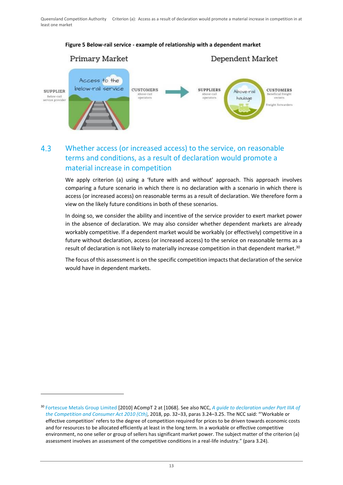

## **Figure 5 Below-rail service - example of relationship with a dependent market**

## <span id="page-18-0"></span> $4.3$ Whether access (or increased access) to the service, on reasonable terms and conditions, as a result of declaration would promote a material increase in competition

We apply criterion (a) using a 'future with and without' approach. This approach involves comparing a future scenario in which there is no declaration with a scenario in which there is access (or increased access) on reasonable terms as a result of declaration. We therefore form a view on the likely future conditions in both of these scenarios.

In doing so, we consider the ability and incentive of the service provider to exert market power in the absence of declaration. We may also consider whether dependent markets are already workably competitive. If a dependent market would be workably (or effectively) competitive in a future without declaration, access (or increased access) to the service on reasonable terms as a result of declaration is not likely to materially increase competition in that dependent market.<sup>30</sup>

The focus of this assessment is on the specific competition impacts that declaration of the service would have in dependent markets.

<sup>30</sup> [Fortescue Metals Group Limited](https://www.competitiontribunal.gov.au/decisions/year/2010/acompt-2010?sq_content_src=%2BdXJsPWh0dHBzJTNBJTJGJTJGd3d3Lmp1ZGdtZW50cy5mZWRjb3VydC5nb3YuYXUlMkZqdWRnbWVudHMlMkZKdWRnbWVudHMlMkZ0cmlidW5hbHMlMkZhY29tcHQlMkYyMDEwJTJGMjAxMGFjb21wdDAwMDImYWxsPTE%3D) [2010] ACompT 2 at [1068]. See also NCC, *[A guide to declaration under Part IIIA of](https://ncc.gov.au/images/uploads/NCC_Declaration_Guide_-_Version_6_-_April_2018.pdf)  the [Competition and Consumer Act 2010 \(Cth\),](https://ncc.gov.au/images/uploads/NCC_Declaration_Guide_-_Version_6_-_April_2018.pdf)* 2018, pp. 32–33, paras 3.24–3.25. The NCC said: "'Workable or effective competition' refers to the degree of competition required for prices to be driven towards economic costs and for resources to be allocated efficiently at least in the long term. In a workable or effective competitive environment, no one seller or group of sellers has significant market power. The subject matter of the criterion (a) assessment involves an assessment of the competitive conditions in a real-life industry." (para 3.24).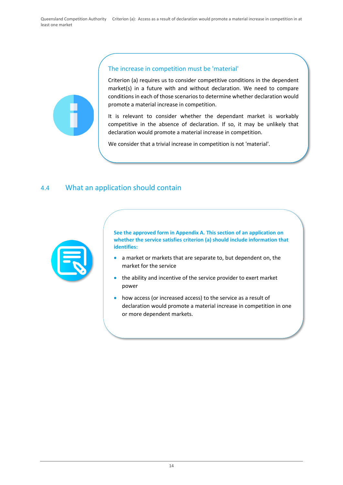

## The increase in competition must be 'material'

Criterion (a) requires us to consider competitive conditions in the dependent market(s) in a future with and without declaration. We need to compare conditions in each of those scenarios to determine whether declaration would promote a material increase in competition.

It is relevant to consider whether the dependant market is workably competitive in the absence of declaration. If so, it may be unlikely that declaration would promote a material increase in competition.

We consider that a trivial increase in competition is not 'material'.

## <span id="page-19-0"></span>4.4 What an application should contain



**See the approved form in Appendix A. This section of an application on whether the service satisfies criterion (a) should include information that identifies:**

- a market or markets that are separate to, but dependent on, the market for the service
- the ability and incentive of the service provider to exert market power
- how access (or increased access) to the service as a result of declaration would promote a material increase in competition in one or more dependent markets.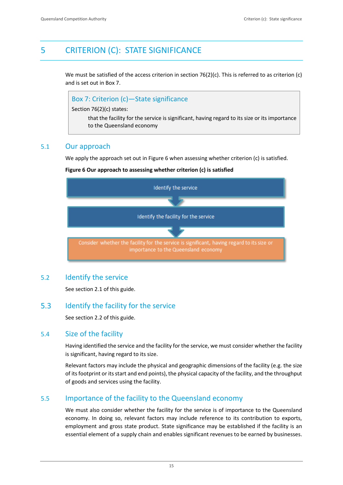## <span id="page-20-0"></span>5 CRITERION (C): STATE SIGNIFICANCE

We must be satisfied of the access criterion in section 76(2)(c). This is referred to as criterion (c) and is set out in Box 7.



## <span id="page-20-1"></span>5.1 Our approach

We apply the approach set out in Figure 6 when assessing whether criterion (c) is satisfied.

### **Figure 6 Our approach to assessing whether criterion (c) is satisfied**



## <span id="page-20-2"></span>5.2 Identify the service

See section 2.1 of this guide.

#### <span id="page-20-3"></span> $5.3$ Identify the facility for the service

See section 2.2 of this guide.

## <span id="page-20-4"></span>5.4 Size of the facility

Having identified the service and the facility for the service, we must consider whether the facility is significant, having regard to its size.

Relevant factors may include the physical and geographic dimensions of the facility (e.g. the size of its footprint or its start and end points), the physical capacity of the facility, and the throughput of goods and services using the facility.

## <span id="page-20-5"></span>5.5 Importance of the facility to the Queensland economy

We must also consider whether the facility for the service is of importance to the Queensland economy. In doing so, relevant factors may include reference to its contribution to exports, employment and gross state product. State significance may be established if the facility is an essential element of a supply chain and enables significant revenues to be earned by businesses.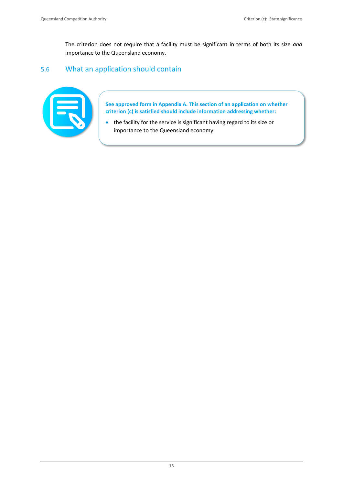The criterion does not require that a facility must be significant in terms of both its size *and*  importance to the Queensland economy.

## <span id="page-21-0"></span>5.6 What an application should contain



**See approved form in Appendix A. This section of an application on whether criterion (c) is satisfied should include information addressing whether:**

• the facility for the service is significant having regard to its size or importance to the Queensland economy.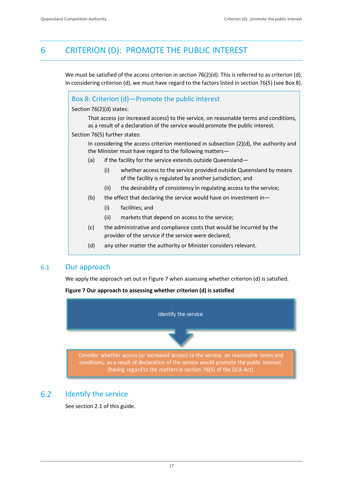## <span id="page-22-0"></span>6 CRITERION (D): PROMOTE THE PUBLIC INTEREST

We must be satisfied of the access criterion in section 76(2)(d). This is referred to as criterion (d). In considering criterion (d), we must have regard to the factors listed in section 76(5) (see Box 8).

|     | Section 76(2)(d) states:<br>That access (or increased access) to the service, on reasonable terms and conditions,                      |
|-----|----------------------------------------------------------------------------------------------------------------------------------------|
|     | as a result of a declaration of the service would promote the public interest.<br>Section 76(5) further states:                        |
|     | In considering the access criterion mentioned in subsection $(2)(d)$ , the authority and                                               |
|     | the Minister must have regard to the following matters-                                                                                |
| (a) | if the facility for the service extends outside Queensland-                                                                            |
|     | (i)<br>whether access to the service provided outside Queensland by means<br>of the facility is regulated by another jurisdiction; and |
|     | the desirability of consistency in regulating access to the service;<br>(ii)                                                           |
| (b) | the effect that declaring the service would have on investment in-                                                                     |
|     | (i)<br>facilities; and                                                                                                                 |
|     | (ii)<br>markets that depend on access to the service;                                                                                  |
| (c) | the administrative and compliance costs that would be incurred by the<br>provider of the service if the service were declared;         |
| (d) | any other matter the authority or Minister considers relevant.                                                                         |

<span id="page-22-1"></span>We apply the approach set out in Figure 7 when assessing whether criterion (d) is satisfied.

### **Figure 7 Our approach to assessing whether criterion (d) is satisfied**



### <span id="page-22-2"></span>Identify the service  $6.2$

See section 2.1 of this guide.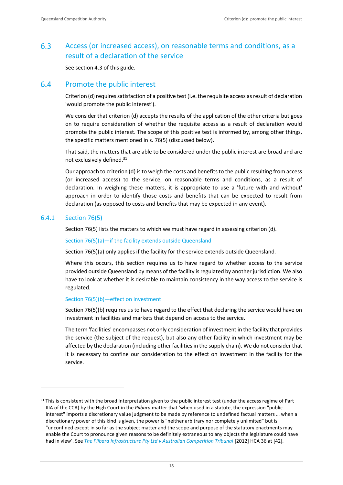### <span id="page-23-0"></span> $6.3$ Access (or increased access), on reasonable terms and conditions, as a result of a declaration of the service

See section 4.3 of this guide.

#### <span id="page-23-1"></span>6.4 Promote the public interest

Criterion (d) requires satisfaction of a positive test (i.e. the requisite access as result of declaration 'would promote the public interest').

We consider that criterion (d) accepts the results of the application of the other criteria but goes on to require consideration of whether the requisite access as a result of declaration would promote the public interest. The scope of this positive test is informed by, among other things, the specific matters mentioned in s. 76(5) (discussed below).

That said, the matters that are able to be considered under the public interest are broad and are not exclusively defined.<sup>31</sup>

Our approach to criterion (d) isto weigh the costs and benefits to the public resulting from access (or increased access) to the service, on reasonable terms and conditions, as a result of declaration. In weighing these matters, it is appropriate to use a 'future with and without' approach in order to identify those costs and benefits that can be expected to result from declaration (as opposed to costs and benefits that may be expected in any event).

## 6.4.1 Section 76(5)

Section 76(5) lists the matters to which we must have regard in assessing criterion (d).

### Section 76(5)(a)—if the facility extends outside Queensland

Section 76(5)(a) only applies if the facility for the service extends outside Queensland.

Where this occurs, this section requires us to have regard to whether access to the service provided outside Queensland by means of the facility is regulated by another jurisdiction. We also have to look at whether it is desirable to maintain consistency in the way access to the service is regulated.

### Section 76(5)(b)—effect on investment

Section 76(5)(b) requires us to have regard to the effect that declaring the service would have on investment in facilities and markets that depend on access to the service.

The term 'facilities' encompasses not only consideration of investment in the facility that provides the service (the subject of the request), but also any other facility in which investment may be affected by the declaration (including other facilities in the supply chain). We do not consider that it is necessary to confine our consideration to the effect on investment in the facility for the service.

 $31$  This is consistent with the broad interpretation given to the public interest test (under the access regime of Part IIIA of the CCA) by the High Court in the *Pilbara* matter that 'when used in a statute, the expression "public interest" imports a discretionary value judgment to be made by reference to undefined factual matters … when a discretionary power of this kind is given, the power is "neither arbitrary nor completely unlimited" but is "unconfined except in so far as the subject matter and the scope and purpose of the statutory enactments may enable the Court to pronounce given reasons to be definitely extraneous to any objects the legislature could have had in view'. See *[The Pilbara Infrastructure Pty Ltd v Australian Competition Tribunal](https://eresources.hcourt.gov.au/downloadPdf/2012/HCA/36)* [2012] HCA 36 at [42].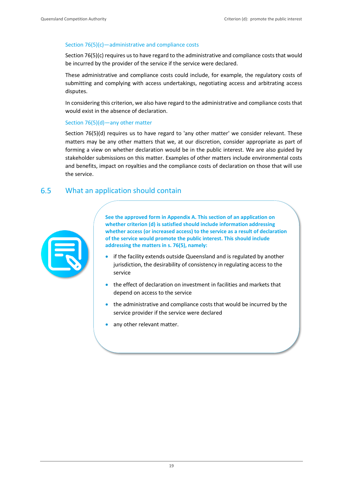## Section 76(5)(c)—administrative and compliance costs

Section 76(5)(c) requires usto have regard to the administrative and compliance costs that would be incurred by the provider of the service if the service were declared.

These administrative and compliance costs could include, for example, the regulatory costs of submitting and complying with access undertakings, negotiating access and arbitrating access disputes.

In considering this criterion, we also have regard to the administrative and compliance costs that would exist in the absence of declaration.

### Section 76(5)(d)—any other matter

Section 76(5)(d) requires us to have regard to 'any other matter' we consider relevant. These matters may be any other matters that we, at our discretion, consider appropriate as part of forming a view on whether declaration would be in the public interest. We are also guided by stakeholder submissions on this matter. Examples of other matters include environmental costs and benefits, impact on royalties and the compliance costs of declaration on those that will use the service.

#### <span id="page-24-0"></span> $6.5$ What an application should contain



**See the approved form in Appendix A. This section of an application on whether criterion (d) is satisfied should include information addressing whether access (or increased access) to the service as a result of declaration of the service would promote the public interest. This should include addressing the matters in s. 76(5), namely:**

- if the facility extends outside Queensland and is regulated by another jurisdiction, the desirability of consistency in regulating access to the service
- the effect of declaration on investment in facilities and markets that depend on access to the service
- the administrative and compliance costs that would be incurred by the service provider if the service were declared
- any other relevant matter.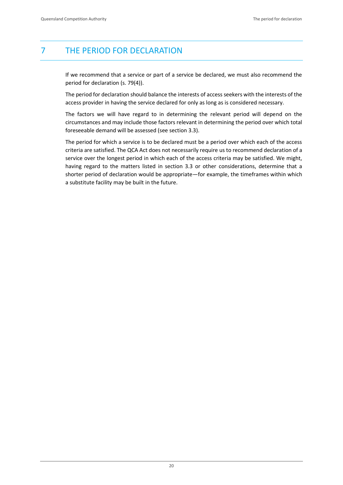## <span id="page-25-0"></span>7 THE PERIOD FOR DECLARATION

If we recommend that a service or part of a service be declared, we must also recommend the period for declaration (s. 79(4)).

The period for declaration should balance the interests of access seekers with the interests of the access provider in having the service declared for only as long as is considered necessary.

The factors we will have regard to in determining the relevant period will depend on the circumstances and may include those factors relevant in determining the period over which total foreseeable demand will be assessed (see section 3.3).

The period for which a service is to be declared must be a period over which each of the access criteria are satisfied. The QCA Act does not necessarily require us to recommend declaration of a service over the longest period in which each of the access criteria may be satisfied. We might, having regard to the matters listed in section 3.3 or other considerations, determine that a shorter period of declaration would be appropriate—for example, the timeframes within which a substitute facility may be built in the future.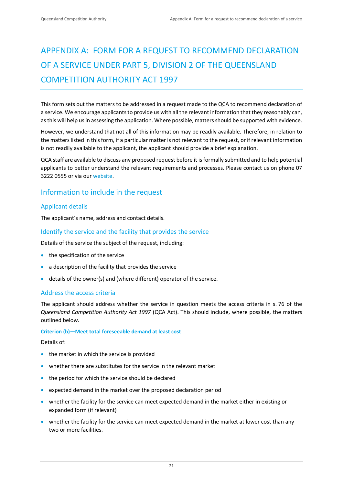# <span id="page-26-0"></span>APPENDIX A: FORM FOR A REQUEST TO RECOMMEND DECLARATION OF A SERVICE UNDER PART 5, DIVISION 2 OF THE QUEENSLAND COMPETITION AUTHORITY ACT 1997

This form sets out the matters to be addressed in a request made to the QCA to recommend declaration of a service. We encourage applicants to provide us with all the relevant information that they reasonably can, as this will help us in assessing the application. Where possible, matters should be supported with evidence.

However, we understand that not all of this information may be readily available. Therefore, in relation to the matters listed in this form, if a particular matter is not relevant to the request, or if relevant information is not readily available to the applicant, the applicant should provide a brief explanation.

QCA staff are available to discuss any proposed request before it is formally submitted and to help potential applicants to better understand the relevant requirements and processes. Please contact us on phone 07 3222 0555 or via our [website.](https://www.qca.org.au/contact/)

## <span id="page-26-1"></span>Information to include in the request

## Applicant details

The applicant's name, address and contact details.

## Identify the service and the facility that provides the service

Details of the service the subject of the request, including:

- the specification of the service
- a description of the facility that provides the service
- details of the owner(s) and (where different) operator of the service.

## Address the access criteria

The applicant should address whether the service in question meets the access criteria in s. 76 of the *Queensland Competition Authority Act 1997* (QCA Act). This should include, where possible, the matters outlined below.

### **Criterion (b)—Meet total foreseeable demand at least cost**

Details of:

- the market in which the service is provided
- whether there are substitutes for the service in the relevant market
- the period for which the service should be declared
- expected demand in the market over the proposed declaration period
- whether the facility for the service can meet expected demand in the market either in existing or expanded form (if relevant)
- whether the facility for the service can meet expected demand in the market at lower cost than any two or more facilities.